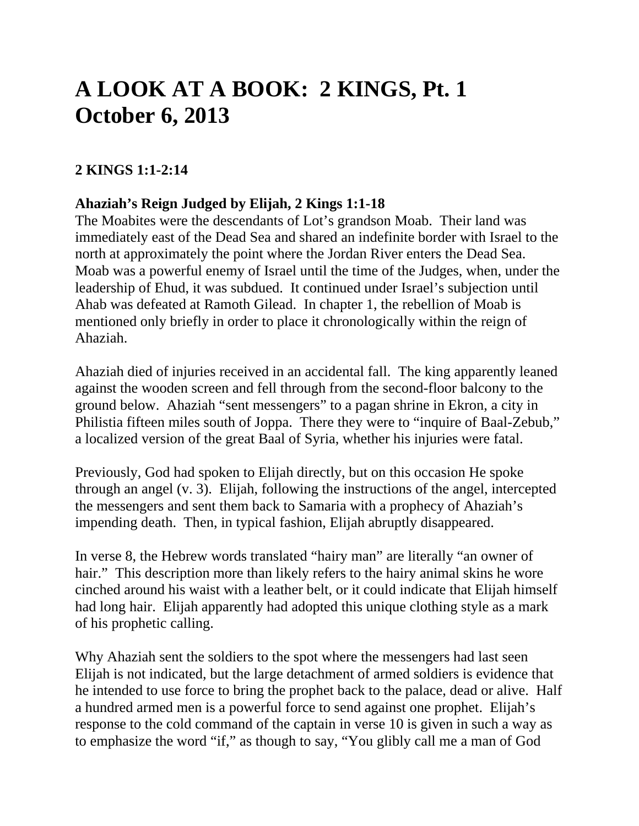# **A LOOK AT A BOOK: 2 KINGS, Pt. 1 October 6, 2013**

# **2 KINGS 1:1-2:14**

## **Ahaziah's Reign Judged by Elijah, 2 Kings 1:1-18**

The Moabites were the descendants of Lot's grandson Moab. Their land was immediately east of the Dead Sea and shared an indefinite border with Israel to the north at approximately the point where the Jordan River enters the Dead Sea. Moab was a powerful enemy of Israel until the time of the Judges, when, under the leadership of Ehud, it was subdued. It continued under Israel's subjection until Ahab was defeated at Ramoth Gilead. In chapter 1, the rebellion of Moab is mentioned only briefly in order to place it chronologically within the reign of Ahaziah.

Ahaziah died of injuries received in an accidental fall. The king apparently leaned against the wooden screen and fell through from the second-floor balcony to the ground below. Ahaziah "sent messengers" to a pagan shrine in Ekron, a city in Philistia fifteen miles south of Joppa. There they were to "inquire of Baal-Zebub," a localized version of the great Baal of Syria, whether his injuries were fatal.

Previously, God had spoken to Elijah directly, but on this occasion He spoke through an angel (v. 3). Elijah, following the instructions of the angel, intercepted the messengers and sent them back to Samaria with a prophecy of Ahaziah's impending death. Then, in typical fashion, Elijah abruptly disappeared.

In verse 8, the Hebrew words translated "hairy man" are literally "an owner of hair." This description more than likely refers to the hairy animal skins he wore cinched around his waist with a leather belt, or it could indicate that Elijah himself had long hair. Elijah apparently had adopted this unique clothing style as a mark of his prophetic calling.

Why Ahaziah sent the soldiers to the spot where the messengers had last seen Elijah is not indicated, but the large detachment of armed soldiers is evidence that he intended to use force to bring the prophet back to the palace, dead or alive. Half a hundred armed men is a powerful force to send against one prophet. Elijah's response to the cold command of the captain in verse 10 is given in such a way as to emphasize the word "if," as though to say, "You glibly call me a man of God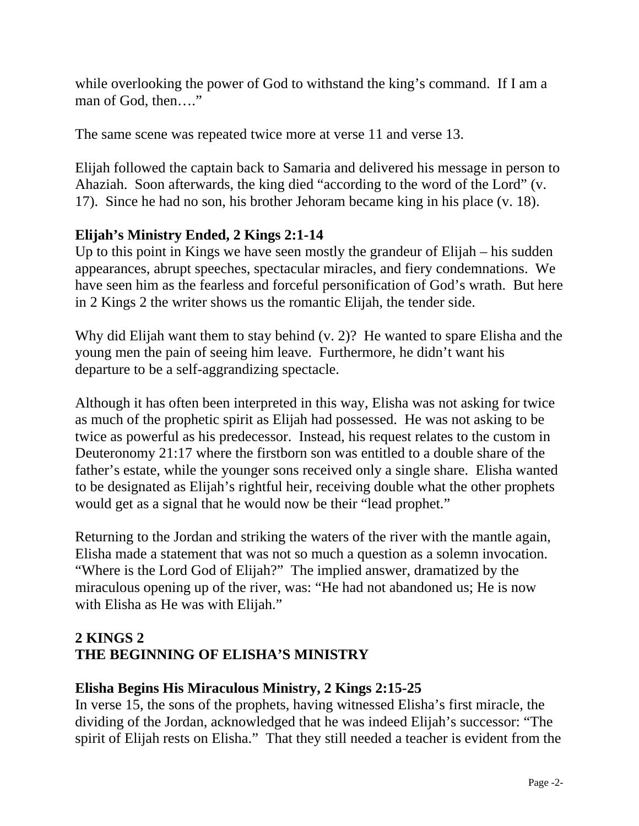while overlooking the power of God to withstand the king's command. If I am a man of God, then…."

The same scene was repeated twice more at verse 11 and verse 13.

Elijah followed the captain back to Samaria and delivered his message in person to Ahaziah. Soon afterwards, the king died "according to the word of the Lord" (v. 17). Since he had no son, his brother Jehoram became king in his place (v. 18).

# **Elijah's Ministry Ended, 2 Kings 2:1-14**

Up to this point in Kings we have seen mostly the grandeur of Elijah – his sudden appearances, abrupt speeches, spectacular miracles, and fiery condemnations. We have seen him as the fearless and forceful personification of God's wrath. But here in 2 Kings 2 the writer shows us the romantic Elijah, the tender side.

Why did Elijah want them to stay behind (v. 2)? He wanted to spare Elisha and the young men the pain of seeing him leave. Furthermore, he didn't want his departure to be a self-aggrandizing spectacle.

Although it has often been interpreted in this way, Elisha was not asking for twice as much of the prophetic spirit as Elijah had possessed. He was not asking to be twice as powerful as his predecessor. Instead, his request relates to the custom in Deuteronomy 21:17 where the firstborn son was entitled to a double share of the father's estate, while the younger sons received only a single share. Elisha wanted to be designated as Elijah's rightful heir, receiving double what the other prophets would get as a signal that he would now be their "lead prophet."

Returning to the Jordan and striking the waters of the river with the mantle again, Elisha made a statement that was not so much a question as a solemn invocation. "Where is the Lord God of Elijah?" The implied answer, dramatized by the miraculous opening up of the river, was: "He had not abandoned us; He is now with Elisha as He was with Elijah."

# **2 KINGS 2 THE BEGINNING OF ELISHA'S MINISTRY**

# **Elisha Begins His Miraculous Ministry, 2 Kings 2:15-25**

In verse 15, the sons of the prophets, having witnessed Elisha's first miracle, the dividing of the Jordan, acknowledged that he was indeed Elijah's successor: "The spirit of Elijah rests on Elisha." That they still needed a teacher is evident from the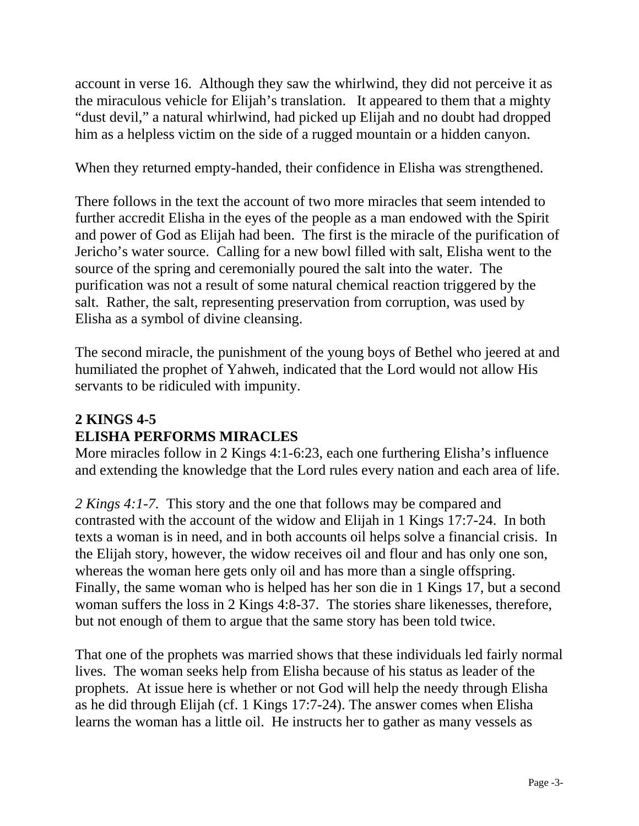account in verse 16. Although they saw the whirlwind, they did not perceive it as the miraculous vehicle for Elijah's translation. It appeared to them that a mighty "dust devil," a natural whirlwind, had picked up Elijah and no doubt had dropped him as a helpless victim on the side of a rugged mountain or a hidden canyon.

When they returned empty-handed, their confidence in Elisha was strengthened.

There follows in the text the account of two more miracles that seem intended to further accredit Elisha in the eyes of the people as a man endowed with the Spirit and power of God as Elijah had been. The first is the miracle of the purification of Jericho's water source. Calling for a new bowl filled with salt, Elisha went to the source of the spring and ceremonially poured the salt into the water. The purification was not a result of some natural chemical reaction triggered by the salt. Rather, the salt, representing preservation from corruption, was used by Elisha as a symbol of divine cleansing.

The second miracle, the punishment of the young boys of Bethel who jeered at and humiliated the prophet of Yahweh, indicated that the Lord would not allow His servants to be ridiculed with impunity.

# **2 KINGS 4-5 ELISHA PERFORMS MIRACLES**

More miracles follow in 2 Kings 4:1-6:23, each one furthering Elisha's influence and extending the knowledge that the Lord rules every nation and each area of life.

*2 Kings 4:1-7.* This story and the one that follows may be compared and contrasted with the account of the widow and Elijah in 1 Kings 17:7-24. In both texts a woman is in need, and in both accounts oil helps solve a financial crisis. In the Elijah story, however, the widow receives oil and flour and has only one son, whereas the woman here gets only oil and has more than a single offspring. Finally, the same woman who is helped has her son die in 1 Kings 17, but a second woman suffers the loss in 2 Kings 4:8-37. The stories share likenesses, therefore, but not enough of them to argue that the same story has been told twice.

That one of the prophets was married shows that these individuals led fairly normal lives. The woman seeks help from Elisha because of his status as leader of the prophets. At issue here is whether or not God will help the needy through Elisha as he did through Elijah (cf. 1 Kings 17:7-24). The answer comes when Elisha learns the woman has a little oil. He instructs her to gather as many vessels as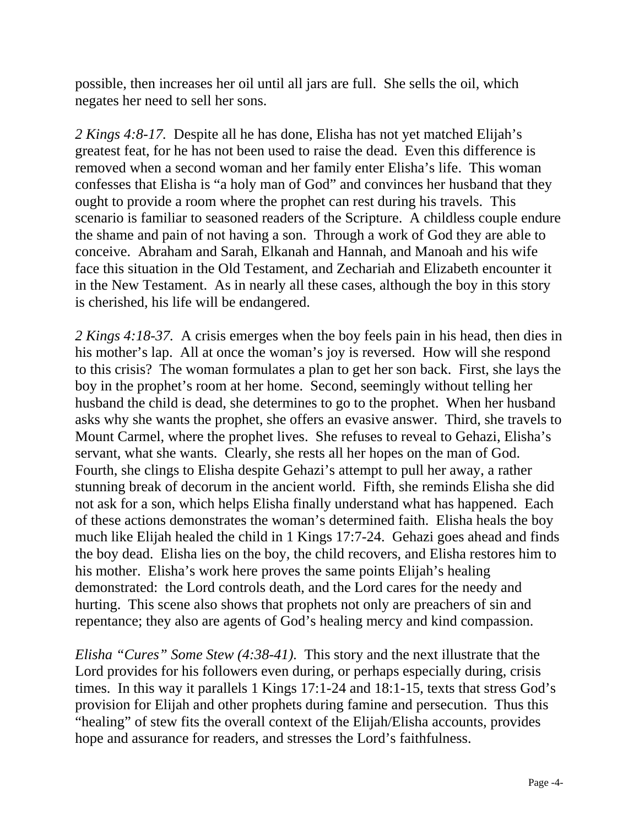possible, then increases her oil until all jars are full. She sells the oil, which negates her need to sell her sons.

*2 Kings 4:8-17.* Despite all he has done, Elisha has not yet matched Elijah's greatest feat, for he has not been used to raise the dead. Even this difference is removed when a second woman and her family enter Elisha's life. This woman confesses that Elisha is "a holy man of God" and convinces her husband that they ought to provide a room where the prophet can rest during his travels. This scenario is familiar to seasoned readers of the Scripture. A childless couple endure the shame and pain of not having a son. Through a work of God they are able to conceive. Abraham and Sarah, Elkanah and Hannah, and Manoah and his wife face this situation in the Old Testament, and Zechariah and Elizabeth encounter it in the New Testament. As in nearly all these cases, although the boy in this story is cherished, his life will be endangered.

*2 Kings 4:18-37.* A crisis emerges when the boy feels pain in his head, then dies in his mother's lap. All at once the woman's joy is reversed. How will she respond to this crisis? The woman formulates a plan to get her son back. First, she lays the boy in the prophet's room at her home. Second, seemingly without telling her husband the child is dead, she determines to go to the prophet. When her husband asks why she wants the prophet, she offers an evasive answer. Third, she travels to Mount Carmel, where the prophet lives. She refuses to reveal to Gehazi, Elisha's servant, what she wants. Clearly, she rests all her hopes on the man of God. Fourth, she clings to Elisha despite Gehazi's attempt to pull her away, a rather stunning break of decorum in the ancient world. Fifth, she reminds Elisha she did not ask for a son, which helps Elisha finally understand what has happened. Each of these actions demonstrates the woman's determined faith. Elisha heals the boy much like Elijah healed the child in 1 Kings 17:7-24. Gehazi goes ahead and finds the boy dead. Elisha lies on the boy, the child recovers, and Elisha restores him to his mother. Elisha's work here proves the same points Elijah's healing demonstrated: the Lord controls death, and the Lord cares for the needy and hurting. This scene also shows that prophets not only are preachers of sin and repentance; they also are agents of God's healing mercy and kind compassion.

*Elisha "Cures" Some Stew (4:38-41).* This story and the next illustrate that the Lord provides for his followers even during, or perhaps especially during, crisis times. In this way it parallels 1 Kings 17:1-24 and 18:1-15, texts that stress God's provision for Elijah and other prophets during famine and persecution. Thus this "healing" of stew fits the overall context of the Elijah/Elisha accounts, provides hope and assurance for readers, and stresses the Lord's faithfulness.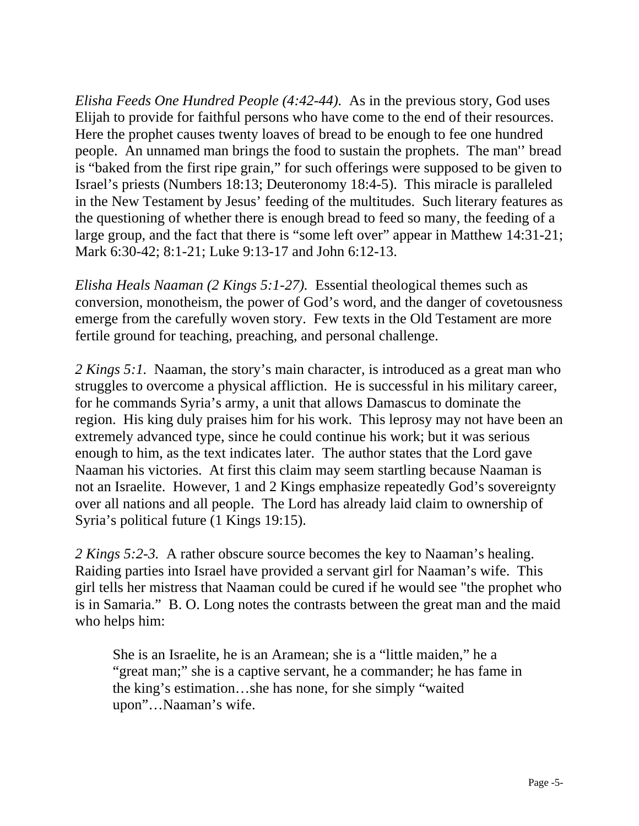*Elisha Feeds One Hundred People (4:42-44).* As in the previous story, God uses Elijah to provide for faithful persons who have come to the end of their resources. Here the prophet causes twenty loaves of bread to be enough to fee one hundred people. An unnamed man brings the food to sustain the prophets. The man'' bread is "baked from the first ripe grain," for such offerings were supposed to be given to Israel's priests (Numbers 18:13; Deuteronomy 18:4-5). This miracle is paralleled in the New Testament by Jesus' feeding of the multitudes. Such literary features as the questioning of whether there is enough bread to feed so many, the feeding of a large group, and the fact that there is "some left over" appear in Matthew 14:31-21; Mark 6:30-42; 8:1-21; Luke 9:13-17 and John 6:12-13.

*Elisha Heals Naaman (2 Kings 5:1-27).* Essential theological themes such as conversion, monotheism, the power of God's word, and the danger of covetousness emerge from the carefully woven story. Few texts in the Old Testament are more fertile ground for teaching, preaching, and personal challenge.

*2 Kings 5:1.* Naaman, the story's main character, is introduced as a great man who struggles to overcome a physical affliction. He is successful in his military career, for he commands Syria's army, a unit that allows Damascus to dominate the region. His king duly praises him for his work. This leprosy may not have been an extremely advanced type, since he could continue his work; but it was serious enough to him, as the text indicates later. The author states that the Lord gave Naaman his victories. At first this claim may seem startling because Naaman is not an Israelite. However, 1 and 2 Kings emphasize repeatedly God's sovereignty over all nations and all people. The Lord has already laid claim to ownership of Syria's political future (1 Kings 19:15).

*2 Kings 5:2-3.* A rather obscure source becomes the key to Naaman's healing. Raiding parties into Israel have provided a servant girl for Naaman's wife. This girl tells her mistress that Naaman could be cured if he would see "the prophet who is in Samaria." B. O. Long notes the contrasts between the great man and the maid who helps him:

She is an Israelite, he is an Aramean; she is a "little maiden," he a "great man;" she is a captive servant, he a commander; he has fame in the king's estimation…she has none, for she simply "waited upon"…Naaman's wife.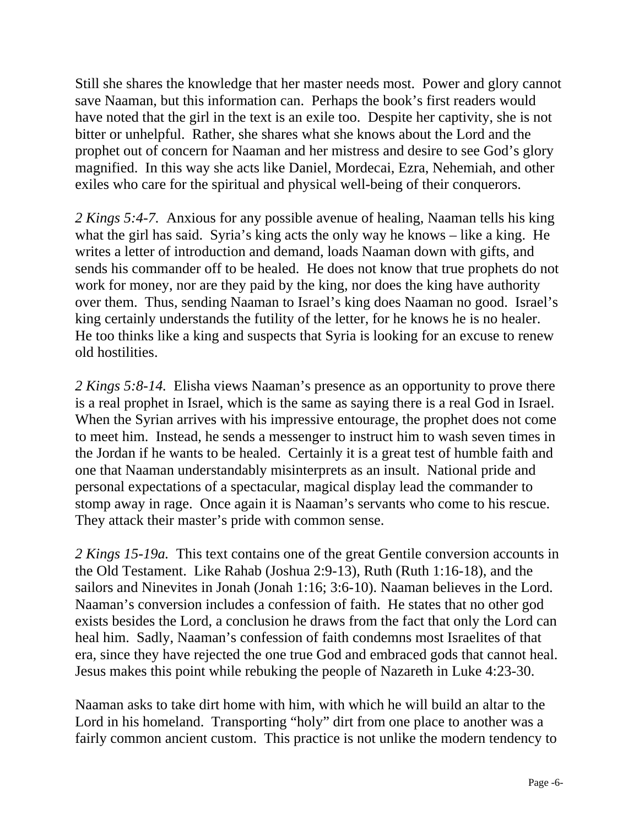Still she shares the knowledge that her master needs most. Power and glory cannot save Naaman, but this information can. Perhaps the book's first readers would have noted that the girl in the text is an exile too. Despite her captivity, she is not bitter or unhelpful. Rather, she shares what she knows about the Lord and the prophet out of concern for Naaman and her mistress and desire to see God's glory magnified. In this way she acts like Daniel, Mordecai, Ezra, Nehemiah, and other exiles who care for the spiritual and physical well-being of their conquerors.

*2 Kings 5:4-7.* Anxious for any possible avenue of healing, Naaman tells his king what the girl has said. Syria's king acts the only way he knows – like a king. He writes a letter of introduction and demand, loads Naaman down with gifts, and sends his commander off to be healed. He does not know that true prophets do not work for money, nor are they paid by the king, nor does the king have authority over them. Thus, sending Naaman to Israel's king does Naaman no good. Israel's king certainly understands the futility of the letter, for he knows he is no healer. He too thinks like a king and suspects that Syria is looking for an excuse to renew old hostilities.

*2 Kings 5:8-14.* Elisha views Naaman's presence as an opportunity to prove there is a real prophet in Israel, which is the same as saying there is a real God in Israel. When the Syrian arrives with his impressive entourage, the prophet does not come to meet him. Instead, he sends a messenger to instruct him to wash seven times in the Jordan if he wants to be healed. Certainly it is a great test of humble faith and one that Naaman understandably misinterprets as an insult. National pride and personal expectations of a spectacular, magical display lead the commander to stomp away in rage. Once again it is Naaman's servants who come to his rescue. They attack their master's pride with common sense.

*2 Kings 15-19a.* This text contains one of the great Gentile conversion accounts in the Old Testament. Like Rahab (Joshua 2:9-13), Ruth (Ruth 1:16-18), and the sailors and Ninevites in Jonah (Jonah 1:16; 3:6-10). Naaman believes in the Lord. Naaman's conversion includes a confession of faith. He states that no other god exists besides the Lord, a conclusion he draws from the fact that only the Lord can heal him. Sadly, Naaman's confession of faith condemns most Israelites of that era, since they have rejected the one true God and embraced gods that cannot heal. Jesus makes this point while rebuking the people of Nazareth in Luke 4:23-30.

Naaman asks to take dirt home with him, with which he will build an altar to the Lord in his homeland. Transporting "holy" dirt from one place to another was a fairly common ancient custom. This practice is not unlike the modern tendency to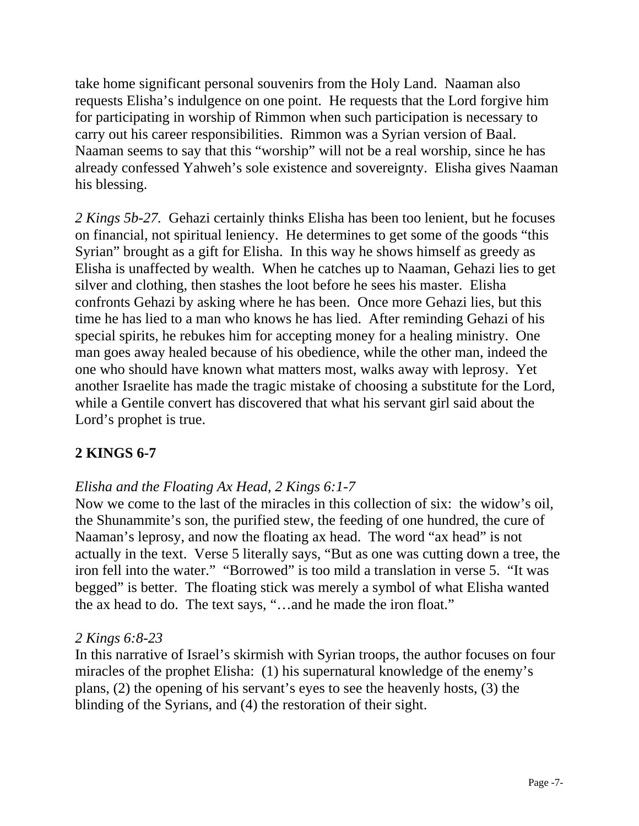take home significant personal souvenirs from the Holy Land. Naaman also requests Elisha's indulgence on one point. He requests that the Lord forgive him for participating in worship of Rimmon when such participation is necessary to carry out his career responsibilities. Rimmon was a Syrian version of Baal. Naaman seems to say that this "worship" will not be a real worship, since he has already confessed Yahweh's sole existence and sovereignty. Elisha gives Naaman his blessing.

*2 Kings 5b-27.* Gehazi certainly thinks Elisha has been too lenient, but he focuses on financial, not spiritual leniency. He determines to get some of the goods "this Syrian" brought as a gift for Elisha. In this way he shows himself as greedy as Elisha is unaffected by wealth. When he catches up to Naaman, Gehazi lies to get silver and clothing, then stashes the loot before he sees his master. Elisha confronts Gehazi by asking where he has been. Once more Gehazi lies, but this time he has lied to a man who knows he has lied. After reminding Gehazi of his special spirits, he rebukes him for accepting money for a healing ministry. One man goes away healed because of his obedience, while the other man, indeed the one who should have known what matters most, walks away with leprosy. Yet another Israelite has made the tragic mistake of choosing a substitute for the Lord, while a Gentile convert has discovered that what his servant girl said about the Lord's prophet is true.

# **2 KINGS 6-7**

# *Elisha and the Floating Ax Head, 2 Kings 6:1-7*

Now we come to the last of the miracles in this collection of six: the widow's oil, the Shunammite's son, the purified stew, the feeding of one hundred, the cure of Naaman's leprosy, and now the floating ax head. The word "ax head" is not actually in the text. Verse 5 literally says, "But as one was cutting down a tree, the iron fell into the water." "Borrowed" is too mild a translation in verse 5. "It was begged" is better. The floating stick was merely a symbol of what Elisha wanted the ax head to do. The text says, "…and he made the iron float."

## *2 Kings 6:8-23*

In this narrative of Israel's skirmish with Syrian troops, the author focuses on four miracles of the prophet Elisha: (1) his supernatural knowledge of the enemy's plans, (2) the opening of his servant's eyes to see the heavenly hosts, (3) the blinding of the Syrians, and (4) the restoration of their sight.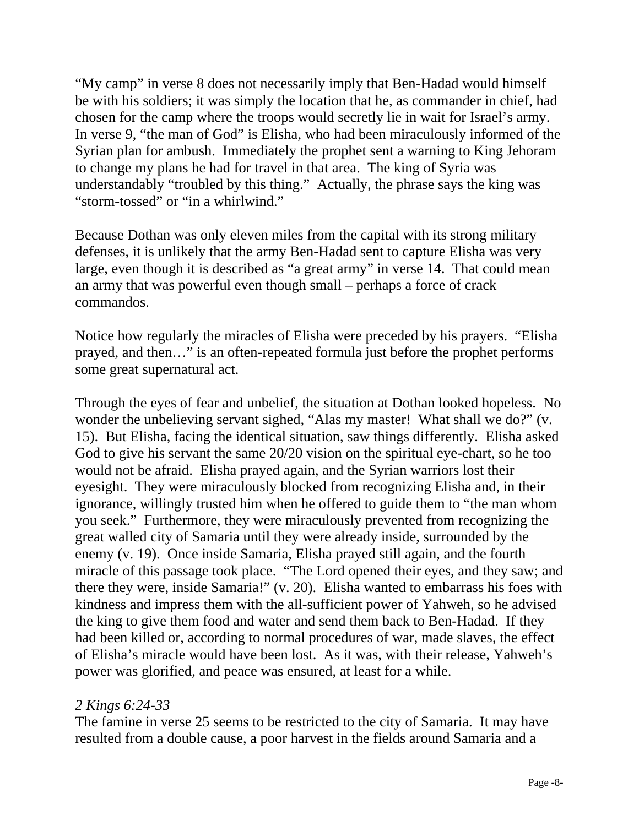"My camp" in verse 8 does not necessarily imply that Ben-Hadad would himself be with his soldiers; it was simply the location that he, as commander in chief, had chosen for the camp where the troops would secretly lie in wait for Israel's army. In verse 9, "the man of God" is Elisha, who had been miraculously informed of the Syrian plan for ambush. Immediately the prophet sent a warning to King Jehoram to change my plans he had for travel in that area. The king of Syria was understandably "troubled by this thing." Actually, the phrase says the king was "storm-tossed" or "in a whirlwind."

Because Dothan was only eleven miles from the capital with its strong military defenses, it is unlikely that the army Ben-Hadad sent to capture Elisha was very large, even though it is described as "a great army" in verse 14. That could mean an army that was powerful even though small – perhaps a force of crack commandos.

Notice how regularly the miracles of Elisha were preceded by his prayers. "Elisha prayed, and then…" is an often-repeated formula just before the prophet performs some great supernatural act.

Through the eyes of fear and unbelief, the situation at Dothan looked hopeless. No wonder the unbelieving servant sighed, "Alas my master! What shall we do?" (v. 15). But Elisha, facing the identical situation, saw things differently. Elisha asked God to give his servant the same 20/20 vision on the spiritual eye-chart, so he too would not be afraid. Elisha prayed again, and the Syrian warriors lost their eyesight. They were miraculously blocked from recognizing Elisha and, in their ignorance, willingly trusted him when he offered to guide them to "the man whom you seek." Furthermore, they were miraculously prevented from recognizing the great walled city of Samaria until they were already inside, surrounded by the enemy (v. 19). Once inside Samaria, Elisha prayed still again, and the fourth miracle of this passage took place. "The Lord opened their eyes, and they saw; and there they were, inside Samaria!" (v. 20). Elisha wanted to embarrass his foes with kindness and impress them with the all-sufficient power of Yahweh, so he advised the king to give them food and water and send them back to Ben-Hadad. If they had been killed or, according to normal procedures of war, made slaves, the effect of Elisha's miracle would have been lost. As it was, with their release, Yahweh's power was glorified, and peace was ensured, at least for a while.

#### *2 Kings 6:24-33*

The famine in verse 25 seems to be restricted to the city of Samaria. It may have resulted from a double cause, a poor harvest in the fields around Samaria and a